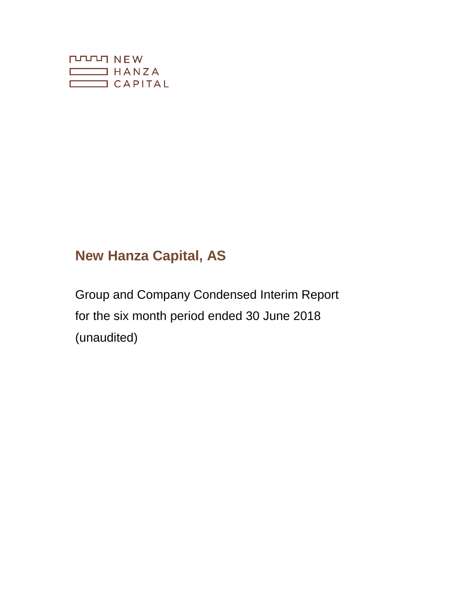

# **New Hanza Capital, AS**

Group and Company Condensed Interim Report for the six month period ended 30 June 2018 (unaudited)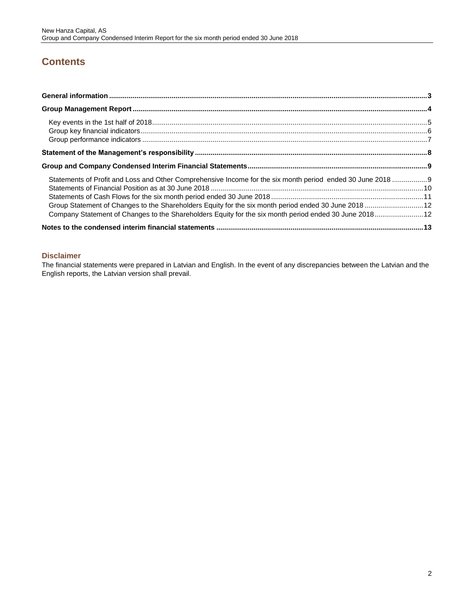## **Contents**

| Statements of Profit and Loss and Other Comprehensive Income for the six month period ended 30 June 2018 9<br>Group Statement of Changes to the Shareholders Equity for the six month period ended 30 June 2018  12<br>Company Statement of Changes to the Shareholders Equity for the six month period ended 30 June 2018 12 |  |
|-------------------------------------------------------------------------------------------------------------------------------------------------------------------------------------------------------------------------------------------------------------------------------------------------------------------------------|--|
|                                                                                                                                                                                                                                                                                                                               |  |

## **Disclaimer**

The financial statements were prepared in Latvian and English. In the event of any discrepancies between the Latvian and the English reports, the Latvian version shall prevail.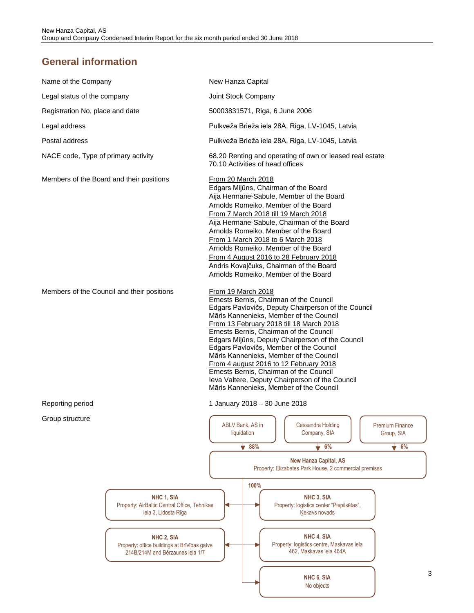## <span id="page-2-0"></span>**General information**

| Name of the Company                                                                            | New Hanza Capital                                                                                                                                                                                                                                                                                                                                                                                                                                                                                                                                                                   |                                                                                        |                               |  |  |
|------------------------------------------------------------------------------------------------|-------------------------------------------------------------------------------------------------------------------------------------------------------------------------------------------------------------------------------------------------------------------------------------------------------------------------------------------------------------------------------------------------------------------------------------------------------------------------------------------------------------------------------------------------------------------------------------|----------------------------------------------------------------------------------------|-------------------------------|--|--|
| Legal status of the company                                                                    | Joint Stock Company                                                                                                                                                                                                                                                                                                                                                                                                                                                                                                                                                                 |                                                                                        |                               |  |  |
| Registration No, place and date                                                                | 50003831571, Riga, 6 June 2006                                                                                                                                                                                                                                                                                                                                                                                                                                                                                                                                                      |                                                                                        |                               |  |  |
| Legal address                                                                                  | Pulkveža Brieža iela 28A, Riga, LV-1045, Latvia                                                                                                                                                                                                                                                                                                                                                                                                                                                                                                                                     |                                                                                        |                               |  |  |
| Postal address                                                                                 | Pulkveža Brieža iela 28A, Riga, LV-1045, Latvia                                                                                                                                                                                                                                                                                                                                                                                                                                                                                                                                     |                                                                                        |                               |  |  |
| NACE code, Type of primary activity                                                            | 68.20 Renting and operating of own or leased real estate<br>70.10 Activities of head offices                                                                                                                                                                                                                                                                                                                                                                                                                                                                                        |                                                                                        |                               |  |  |
| Members of the Board and their positions                                                       | <b>From 20 March 2018</b><br>Edgars Milūns, Chairman of the Board<br>Aija Hermane-Sabule, Member of the Board<br>Arnolds Romeiko, Member of the Board<br>From 7 March 2018 till 19 March 2018<br>Aija Hermane-Sabule, Chairman of the Board<br>Arnolds Romeiko, Member of the Board<br>From 1 March 2018 to 6 March 2018<br>Arnolds Romeiko, Member of the Board<br>From 4 August 2016 to 28 February 2018<br>Andris Kovaļčuks, Chairman of the Board<br>Arnolds Romeiko, Member of the Board                                                                                       |                                                                                        |                               |  |  |
| Members of the Council and their positions                                                     | From 19 March 2018<br>Ernests Bernis, Chairman of the Council<br>Edgars Pavlovičs, Deputy Chairperson of the Council<br>Māris Kannenieks, Member of the Council<br>From 13 February 2018 till 18 March 2018<br>Ernests Bernis, Chairman of the Council<br>Edgars Milūns, Deputy Chairperson of the Council<br>Edgars Pavlovičs, Member of the Council<br>Māris Kannenieks, Member of the Council<br>From 4 august 2016 to 12 February 2018<br>Ernests Bernis, Chairman of the Council<br>leva Valtere, Deputy Chairperson of the Council<br>Māris Kannenieks, Member of the Council |                                                                                        |                               |  |  |
| Reporting period                                                                               | 1 January 2018 - 30 June 2018                                                                                                                                                                                                                                                                                                                                                                                                                                                                                                                                                       |                                                                                        |                               |  |  |
| Group structure                                                                                | ABLV Bank, AS in<br>liquidation                                                                                                                                                                                                                                                                                                                                                                                                                                                                                                                                                     | Cassandra Holding<br>Company, SIA                                                      | Premium Finance<br>Group, SIA |  |  |
|                                                                                                | 88%                                                                                                                                                                                                                                                                                                                                                                                                                                                                                                                                                                                 | 6%                                                                                     | $\bullet$ 6%                  |  |  |
|                                                                                                |                                                                                                                                                                                                                                                                                                                                                                                                                                                                                                                                                                                     | <b>New Hanza Capital, AS</b><br>Property: Elizabetes Park House, 2 commercial premises |                               |  |  |
|                                                                                                | 100%                                                                                                                                                                                                                                                                                                                                                                                                                                                                                                                                                                                |                                                                                        |                               |  |  |
| NHC 1, SIA<br>Property: AirBaltic Central Office, Tehnikas<br>iela 3, Lidosta Rīga             |                                                                                                                                                                                                                                                                                                                                                                                                                                                                                                                                                                                     | NHC 3, SIA<br>Property: logistics center "Piepilsētas",<br>Kekavs novads               |                               |  |  |
| NHC 2, SIA<br>Property: office buildings at Brīvības gatve<br>214B/214M and Bērzaunes iela 1/7 |                                                                                                                                                                                                                                                                                                                                                                                                                                                                                                                                                                                     | NHC 4, SIA<br>Property: logistics centre, Maskavas iela<br>462, Maskavas iela 464A     |                               |  |  |
|                                                                                                |                                                                                                                                                                                                                                                                                                                                                                                                                                                                                                                                                                                     | NHC 6, SIA                                                                             |                               |  |  |

No objects

Ы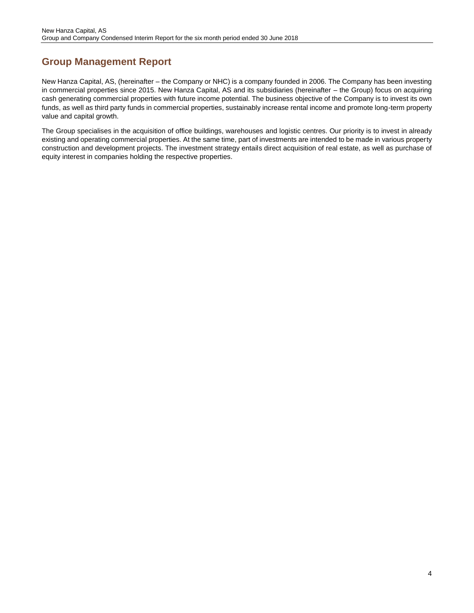## <span id="page-3-0"></span>**Group Management Report**

New Hanza Capital, AS, (hereinafter – the Company or NHC) is a company founded in 2006. The Company has been investing in commercial properties since 2015. New Hanza Capital, AS and its subsidiaries (hereinafter – the Group) focus on acquiring cash generating commercial properties with future income potential. The business objective of the Company is to invest its own funds, as well as third party funds in commercial properties, sustainably increase rental income and promote long-term property value and capital growth.

The Group specialises in the acquisition of office buildings, warehouses and logistic centres. Our priority is to invest in already existing and operating commercial properties. At the same time, part of investments are intended to be made in various property construction and development projects. The investment strategy entails direct acquisition of real estate, as well as purchase of equity interest in companies holding the respective properties.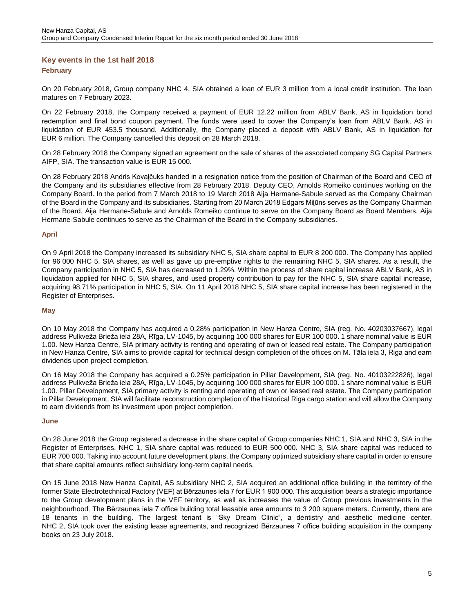## <span id="page-4-0"></span>**Key events in the 1st half 2018 February**

On 20 February 2018, Group company NHC 4, SIA obtained a loan of EUR 3 million from a local credit institution. The loan matures on 7 February 2023.

On 22 February 2018, the Company received a payment of EUR 12.22 million from ABLV Bank, AS in liquidation bond redemption and final bond coupon payment. The funds were used to cover the Company's loan from ABLV Bank, AS in liquidation of EUR 453.5 thousand. Additionally, the Company placed a deposit with ABLV Bank, AS in liquidation for EUR 6 million. The Company cancelled this deposit on 28 March 2018.

On 28 February 2018 the Company signed an agreement on the sale of shares of the associated company SG Capital Partners AIFP, SIA. The transaction value is EUR 15 000.

On 28 February 2018 Andris Kovaļčuks handed in a resignation notice from the position of Chairman of the Board and CEO of the Company and its subsidiaries effective from 28 February 2018. Deputy CEO, Arnolds Romeiko continues working on the Company Board. In the period from 7 March 2018 to 19 March 2018 Aija Hermane-Sabule served as the Company Chairman of the Board in the Company and its subsidiaries. Starting from 20 March 2018 Edgars Miļūns serves as the Company Chairman of the Board. Aija Hermane-Sabule and Arnolds Romeiko continue to serve on the Company Board as Board Members. Aija Hermane-Sabule continues to serve as the Chairman of the Board in the Company subsidiaries.

#### **April**

On 9 April 2018 the Company increased its subsidiary NHC 5, SIA share capital to EUR 8 200 000. The Company has applied for 96 000 NHC 5, SIA shares, as well as gave up pre-emptive rights to the remaining NHC 5, SIA shares. As a result, the Company participation in NHC 5, SIA has decreased to 1.29%. Within the process of share capital increase ABLV Bank, AS in liquidation applied for NHC 5, SIA shares, and used property contribution to pay for the NHC 5, SIA share capital increase, acquiring 98.71% participation in NHC 5, SIA. On 11 April 2018 NHC 5, SIA share capital increase has been registered in the Register of Enterprises.

#### **May**

On 10 May 2018 the Company has acquired a 0.28% participation in New Hanza Centre, SIA (reg. No. 40203037667), legal address Pulkveža Brieža iela 28A, Rīga, LV-1045, by acquiring 100 000 shares for EUR 100 000. 1 share nominal value is EUR 1.00. New Hanza Centre, SIA primary activity is renting and operating of own or leased real estate. The Company participation in New Hanza Centre, SIA aims to provide capital for technical design completion of the offices on M. Tāla iela 3, Riga and earn dividends upon project completion.

On 16 May 2018 the Company has acquired a 0.25% participation in Pillar Development, SIA (reg. No. 40103222826), legal address Pulkveža Brieža iela 28A, Rīga, LV-1045, by acquiring 100 000 shares for EUR 100 000. 1 share nominal value is EUR 1.00. Pillar Development, SIA primary activity is renting and operating of own or leased real estate. The Company participation in Pillar Development, SIA will facilitate reconstruction completion of the historical Riga cargo station and will allow the Company to earn dividends from its investment upon project completion.

#### **June**

On 28 June 2018 the Group registered a decrease in the share capital of Group companies NHC 1, SIA and NHC 3, SIA in the Register of Enterprises. NHC 1, SIA share capital was reduced to EUR 500 000. NHC 3, SIA share capital was reduced to EUR 700 000. Taking into account future development plans, the Company optimized subsidiary share capital in order to ensure that share capital amounts reflect subsidiary long-term capital needs.

On 15 June 2018 New Hanza Capital, AS subsidiary NHC 2, SIA acquired an additional office building in the territory of the former State Electrotechnical Factory (VEF) at Bērzaunes iela 7 for EUR 1 900 000. This acquisition bears a strategic importance to the Group development plans in the VEF territory, as well as increases the value of Group previous investments in the neighbourhood. The Bērzaunes iela 7 office building total leasable area amounts to 3 200 square meters. Currently, there are 18 tenants in the building. The largest tenant is "Sky Dream Clinic", a dentistry and aesthetic medicine center. NHC 2, SIA took over the existing lease agreements, and recognized Bērzaunes 7 office building acquisition in the company books on 23 July 2018.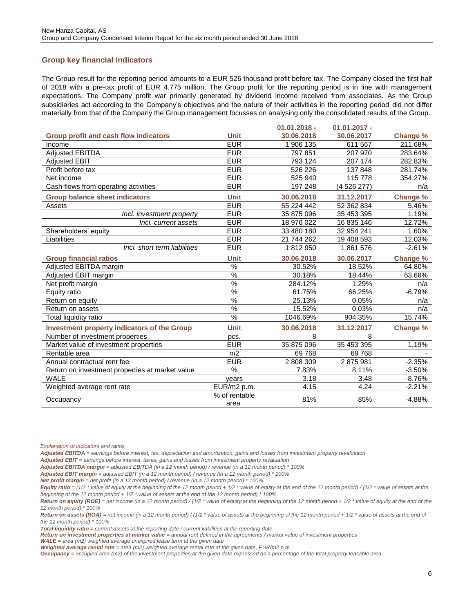## <span id="page-5-0"></span>**Group key financial indicators**

The Group result for the reporting period amounts to a EUR 526 thousand profit before tax. The Company closed the first half of 2018 with a pre-tax profit of EUR 4.775 million. The Group profit for the reporting period is in line with management expectations. The Company profit war primarily generated by dividend income received from associates. As the Group subsidiaries act according to the Company's objectives and the nature of their activities in the reporting period did not differ materially from that of the Company the Group management focusses on analysing only the consolidated results of the Group.

**01.01.2018 -**

|                                                    |                       | $01.01.2018 -$ | $01.01.2017 -$ |                 |
|----------------------------------------------------|-----------------------|----------------|----------------|-----------------|
| Group profit and cash flow indicators              | <b>Unit</b>           | 30.06.2018     | 30.06.2017     | <b>Change %</b> |
| Income                                             | <b>EUR</b>            | 1 906 135      | 611 567        | 211.68%         |
| Adjusted EBITDA                                    | <b>EUR</b>            | 797 851        | 207 970        | 283.64%         |
| <b>Adjusted EBIT</b>                               | <b>EUR</b>            | 793 124        | 207 174        | 282.83%         |
| Profit before tax                                  | <b>EUR</b>            | 526 226        | 137 848        | 281.74%         |
| Net income                                         | <b>EUR</b>            | 525 940        | 115 778        | 354.27%         |
| Cash flows from operating activities               | <b>EUR</b>            | 197 248        | (4 526 277)    | n/a             |
| <b>Group balance sheet indicators</b>              | <b>Unit</b>           | 30.06.2018     | 31.12.2017     | Change %        |
| Assets                                             | <b>EUR</b>            | 55 224 442     | 52 362 834     | 5.46%           |
| Incl. investment property                          | <b>EUR</b>            | 35 875 096     | 35 453 395     | 1.19%           |
| Incl. current assets                               | <b>EUR</b>            | 18 976 022     | 16 835 146     | 12.72%          |
| Shareholders' equity                               | <b>EUR</b>            | 33 480 180     | 32 954 241     | 1.60%           |
| Liabilities                                        | <b>EUR</b>            | 21 744 262     | 19 408 593     | 12.03%          |
| Incl. short term liabilities                       | <b>EUR</b>            | 1812950        | 1861576        | $-2.61%$        |
| <b>Group financial ratios</b>                      | <b>Unit</b>           | 30.06.2018     | 30.06.2017     | Change %        |
| Adjusted EBITDA margin                             | $\frac{1}{2}$         | 30.52%         | 18.52%         | 64.80%          |
| Adjusted EBIT margin                               | $\frac{0}{6}$         | 30.18%         | 18.44%         | 63.68%          |
| Net profit margin                                  | $\frac{1}{2}$         | 284.12%        | 1.29%          | n/a             |
| Equity ratio                                       | $\frac{1}{2}$         | 61.75%         | 66.25%         | $-6.79%$        |
| Return on equity                                   | $\frac{0}{6}$         | 25.13%         | 0.05%          | n/a             |
| Return on assets                                   | %                     | 15.52%         | 0.03%          | n/a             |
| Total liquidity ratio                              | $\frac{0}{6}$         | 1046.69%       | 904.35%        | 15.74%          |
| <b>Investment property indicators of the Group</b> | <b>Unit</b>           | 30.06.2018     | 31.12.2017     | <b>Change %</b> |
| Number of investment properties                    | pcs.                  | 8              | 8              |                 |
| Market value of investment properties              | <b>EUR</b>            | 35 875 096     | 35 453 395     | 1.19%           |
| Rentable area                                      | m <sub>2</sub>        | 69768          | 69768          |                 |
| Annual contractual rent fee                        | <b>EUR</b>            | 2 808 309      | 2875981        | $-2.35%$        |
| Return on investment properties at market value    | $\%$                  | 7.83%          | 8.11%          | $-3.50%$        |
| <b>WALE</b>                                        | vears                 | 3.18           | 3.48           | $-8.76%$        |
| Weighted average rent rate                         | EUR/m2 p.m.           | 4.15           | 4.24           | $-2.21%$        |
| Occupancy                                          | % of rentable<br>area | 81%            | 85%            | $-4.88%$        |

*Explanation of indicators and ratios*

*Adjusted EBITDA = earnings before interest, tax, depreciation and amortization, gains and losses from investment property revaluation*

*Adjusted EBIT = earnings before interest, taxes, gains and losses from investment property revaluation*

*Adjusted EBITDA margin = adjusted EBITDA (in a 12 month period) / revenue (in a 12 month period) \* 100%*

*Adjusted EBIT margin = adjusted EBIT (in a 12 month period) / revenue (in a 12 month period) \* 100%*

*Net profit margin = net profit (in a 12 month period) / revenue (in a 12 month period) \* 100%*

*Equity ratio = (1/2 \* value of equity at the beginning of the 12 month period + 1/2 \* value of equity at the end of the 12 month period) / (1/2 \* value of assets at the beginning of the 12 month period + 1/2 \* value of assets at the end of the 12 month period) \* 100%*

*Return on equity (ROE) = net income (in a 12 month period) / (1/2 \* value of equity at the beginning of the 12 month period + 1/2 \* value of equity at the end of the 12 month period) \* 100%*

*Return on assets (ROA) = net income (in a 12 month period) / (1/2 \* value of assets at the beginning of the 12 month period + 1/2 \* value of assets at the end of the 12 month period) \* 100%*

*Total liquidity ratio = current assets at the reporting date / current liabilities at the reporting date*

Return on investment properties at market value = annual rent defined in the agreements / market value of investment properties

*WALE = area (m2) weighted average unexpired lease term at the given date*

*Weighted average rental rate = area (m2) weighted average rental rate at the given date, EUR/m2 p.m.* 

*Occupancy = occupied area (m2) of the investment properties at the given date expressed as a percentage of the total property leasable area*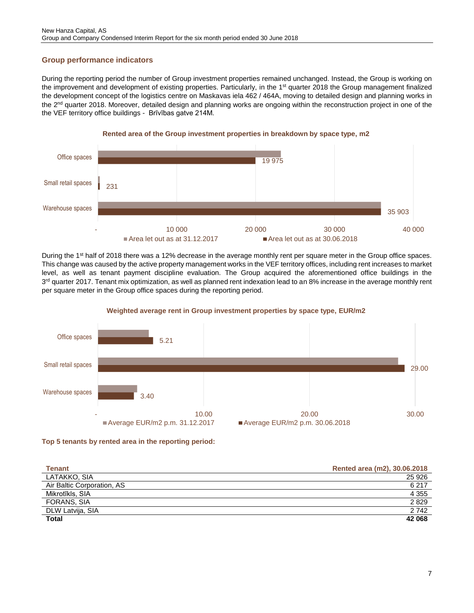## <span id="page-6-0"></span>**Group performance indicators**

During the reporting period the number of Group investment properties remained unchanged. Instead, the Group is working on the improvement and development of existing properties. Particularly, in the 1<sup>st</sup> quarter 2018 the Group management finalized the development concept of the logistics centre on Maskavas iela 462 / 464A, moving to detailed design and planning works in the 2<sup>nd</sup> quarter 2018. Moreover, detailed design and planning works are ongoing within the reconstruction project in one of the the VEF territory office buildings - Brīvības gatve 214M.



During the 1<sup>st</sup> half of 2018 there was a 12% decrease in the average monthly rent per square meter in the Group office spaces. This change was caused by the active property management works in the VEF territory offices, including rent increases to market level, as well as tenant payment discipline evaluation. The Group acquired the aforementioned office buildings in the 3<sup>rd</sup> quarter 2017. Tenant mix optimization, as well as planned rent indexation lead to an 8% increase in the average monthly rent per square meter in the Group office spaces during the reporting period.



#### **Weighted average rent in Group investment properties by space type, EUR/m2**



| <b>Tenant</b>              | Rented area (m2), 30.06.2018 |
|----------------------------|------------------------------|
| LATAKKO, SIA               | 25 9 26                      |
| Air Baltic Corporation, AS | 6 217                        |
| Mikrotīkls, SIA            | 4 3 5 5                      |
| FORANS, SIA                | 2829                         |
| DLW Latvija, SIA           | 2742                         |
| <b>Total</b>               | 42 068                       |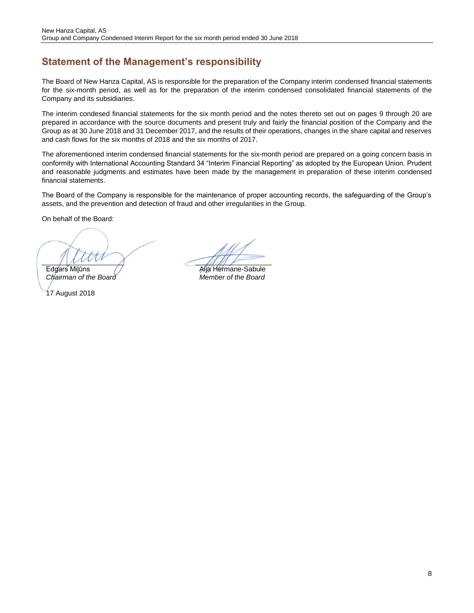## <span id="page-7-0"></span>**Statement of the Management's responsibility**

The Board of New Hanza Capital, AS is responsible for the preparation of the Company interim condensed financial statements for the six-month period, as well as for the preparation of the interim condensed consolidated financial statements of the Company and its subsidiaries.

The interim condesed financial statements for the six month period and the notes thereto set out on pages 9 through 20 are prepared in accordance with the source documents and present truly and fairly the financial position of the Company and the Group as at 30 June 2018 and 31 December 2017, and the results of their operations, changes in the share capital and reserves and cash flows for the six months of 2018 and the six months of 2017.

The aforementioned interim condensed financial statements for the six-month period are prepared on a going concern basis in conformity with International Accounting Standard 34 "Interim Financial Reporting" as adopted by the European Union. Prudent and reasonable judgments and estimates have been made by the management in preparation of these interim condensed financial statements.

The Board of the Company is responsible for the maintenance of proper accounting records, the safeguarding of the Group's assets, and the prevention and detection of fraud and other irregularities in the Group.

On behalf of the Board:

Edgars Milūns (Valley de La Mila Hermane-Sabule

*Chairman of the Board Member of the Board*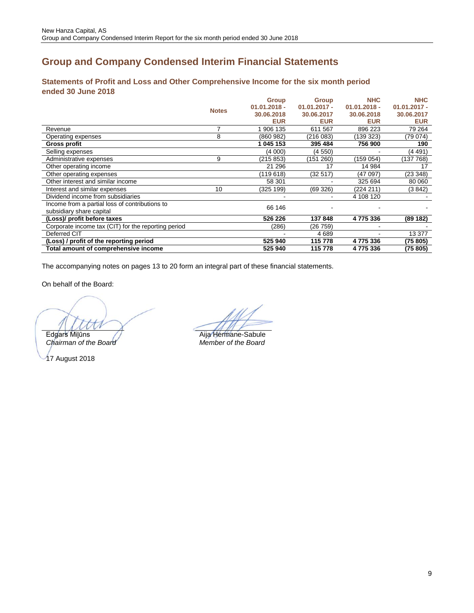## <span id="page-8-0"></span>**Group and Company Condensed Interim Financial Statements**

## <span id="page-8-1"></span>**Statements of Profit and Loss and Other Comprehensive Income for the six month period ended 30 June 2018**

|                                                     |              | <b>Group</b>   | <b>Group</b>   | <b>NHC</b>     | <b>NHC</b>     |
|-----------------------------------------------------|--------------|----------------|----------------|----------------|----------------|
|                                                     | <b>Notes</b> | $01.01.2018 -$ | $01.01.2017 -$ | $01.01.2018 -$ | $01.01.2017 -$ |
|                                                     |              | 30.06.2018     | 30.06.2017     | 30.06.2018     | 30.06.2017     |
|                                                     |              | <b>EUR</b>     | <b>EUR</b>     | <b>EUR</b>     | <b>EUR</b>     |
| Revenue                                             | 7            | 1 906 135      | 611 567        | 896 223        | 79 264         |
| Operating expenses                                  | 8            | (860982)       | (216 083)      | (139 323)      | (79 074)       |
| Gross profit                                        |              | 1 045 153      | 395 484        | 756 900        | 190            |
| Selling expenses                                    |              | (4 000)        | (4 550)        |                | (4 491)        |
| Administrative expenses                             | 9            | (215 853)      | (151 260)      | (159 054)      | (137 768)      |
| Other operating income                              |              | 21 29 6        | 17             | 14 984         | 17             |
| Other operating expenses                            |              | (119618)       | (32 517)       | (47 097)       | (23 348)       |
| Other interest and similar income                   |              | 58 301         |                | 325 694        | 80 060         |
| Interest and similar expenses                       | 10           | (325 199)      | (69326)        | (224 211)      | (3 842)        |
| Dividend income from subsidiaries                   |              |                |                | 4 108 120      |                |
| Income from a partial loss of contributions to      |              | 66 146         |                |                |                |
| subsidiary share capital                            |              |                |                |                |                |
| (Loss)/ profit before taxes                         |              | 526 226        | 137848         | 4775336        | (89 182)       |
| Corporate income tax (CIT) for the reporting period |              | (286)          | (26 759)       |                |                |
| Deferred CIT                                        |              |                | 4689           |                | 13 377         |
| (Loss) / profit of the reporting period             |              | 525 940        | 115 778        | 4775336        | (75 805)       |
| Total amount of comprehensive income                |              | 525 940        | 115 778        | 4775336        | (75 805)       |

The accompanying notes on pages 13 to 20 form an integral part of these financial statements.

On behalf of the Board:

Edgars Milūns **Aija Hermane-Sabule**<br>
Chairman of the Board **Member** of the Board

*Chairman of the Board Member of the Board*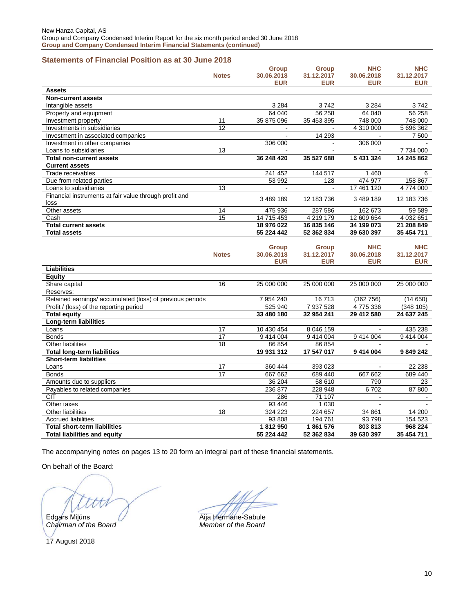## <span id="page-9-0"></span>**Statements of Financial Position as at 30 June 2018**

|                                                           |              | <b>Group</b> | <b>Group</b> | <b>NHC</b> | <b>NHC</b> |
|-----------------------------------------------------------|--------------|--------------|--------------|------------|------------|
|                                                           | <b>Notes</b> | 30.06.2018   | 31.12.2017   | 30.06.2018 | 31.12.2017 |
|                                                           |              | <b>EUR</b>   | <b>EUR</b>   | <b>EUR</b> | EUR        |
| <b>Assets</b>                                             |              |              |              |            |            |
| <b>Non-current assets</b>                                 |              |              |              |            |            |
| Intangible assets                                         |              | 3 2 8 4      | 3742         | 3 2 8 4    | 3742       |
| Property and equipment                                    |              | 64 040       | 56 258       | 64 040     | 56 258     |
| Investment property                                       | 11           | 35 875 096   | 35 453 395   | 748 000    | 748 000    |
| Investments in subsidiaries                               | 12           |              |              | 4 310 000  | 5 696 362  |
| Investment in associated companies                        |              |              | 14 293       |            | 7 500      |
| Investment in other companies                             |              | 306 000      |              | 306 000    |            |
| Loans to subsidiaries                                     | 13           |              |              |            | 7 734 000  |
| <b>Total non-current assets</b>                           |              | 36 248 420   | 35 527 688   | 5 431 324  | 14 245 862 |
| <b>Current assets</b>                                     |              |              |              |            |            |
| Trade receivables                                         |              | 241 452      | 144 517      | 1 460      | 6          |
| Due from related parties                                  |              | 53 992       | 128          | 474 977    | 158 867    |
| Loans to subsidiaries                                     | 13           |              |              | 17 461 120 | 4774000    |
| Financial instruments at fair value through profit and    |              |              |              |            |            |
| loss                                                      |              | 3 489 189    | 12 183 736   | 3 489 189  | 12 183 736 |
| Other assets                                              | 14           | 475 936      | 287 586      | 162 673    | 59 589     |
| Cash                                                      | 15           | 14 715 453   | 4 219 179    | 12 609 654 | 4 032 651  |
| <b>Total current assets</b>                               |              | 18 976 022   | 16 835 146   | 34 199 073 | 21 208 849 |
| <b>Total assets</b>                                       |              | 55 224 442   | 52 362 834   | 39 630 397 | 35 454 711 |
|                                                           |              |              |              |            |            |
|                                                           |              | <b>Group</b> | <b>Group</b> | <b>NHC</b> | <b>NHC</b> |
|                                                           | <b>Notes</b> | 30.06.2018   | 31.12.2017   | 30.06.2018 | 31.12.2017 |
|                                                           |              | <b>EUR</b>   | <b>EUR</b>   | <b>EUR</b> | <b>EUR</b> |
| <b>Liabilities</b>                                        |              |              |              |            |            |
| Equity                                                    |              |              |              |            |            |
| Share capital                                             | 16           | 25 000 000   | 25 000 000   | 25 000 000 | 25 000 000 |
| Reserves:                                                 |              |              |              |            |            |
| Retained earnings/ accumulated (loss) of previous periods |              | 7 954 240    | 16713        | (362756)   | (14650)    |
| Profit / (loss) of the reporting period                   |              | 525 940      | 7 937 528    | 4775336    | (348105)   |
| <b>Total equity</b>                                       |              | 33 480 180   | 32 954 241   | 29 412 580 | 24 637 245 |
| Long-term liabilities                                     |              |              |              |            |            |
| Loans                                                     | 17           | 10 430 454   | 8 046 159    |            | 435 238    |
| <b>Bonds</b>                                              | 17           | 9 414 004    | 9 414 004    | 9 414 004  | 9 414 004  |
| Other liabilities                                         | 18           | 86 854       | 86 854       |            |            |
| <b>Total long-term liabilities</b>                        |              | 19 931 312   | 17 547 017   | 9 414 004  | 9 849 242  |
| <b>Short-term liabilities</b>                             |              |              |              |            |            |
| Loans                                                     | 17           | 360 444      | 393 023      |            | 22 238     |
| <b>Bonds</b>                                              | 17           | 667 662      | 689 440      | 667 662    | 689 440    |
| Amounts due to suppliers                                  |              | 36 204       | 58 610       | 790        | 23         |
| Payables to related companies                             |              | 236 877      | 228 948      | 6702       | 87 800     |
| <b>CIT</b>                                                |              | 286          | 71 107       |            |            |
| Other taxes                                               |              | 93 446       | 1 0 3 0      |            |            |
| Other liabilities                                         | 18           | 324 223      | 224 657      | 34 861     | 14 200     |
| <b>Accrued liabilities</b>                                |              | 93 808       | 194 761      | 93798      | 154 523    |
| <b>Total short-term liabilities</b>                       |              | 1812950      | 1861576      | 803813     | 968 224    |
| <b>Total liabilities and equity</b>                       |              | 55 224 442   | 52 362 834   | 39 630 397 | 35 454 711 |

The accompanying notes on pages 13 to 20 form an integral part of these financial statements.

On behalf of the Board:

*Chairman of the Board Member of the Board*

Edgars Miļūns **Aija Hermane-Sabule**<br>
Chairman of the Board **All Member** of the Board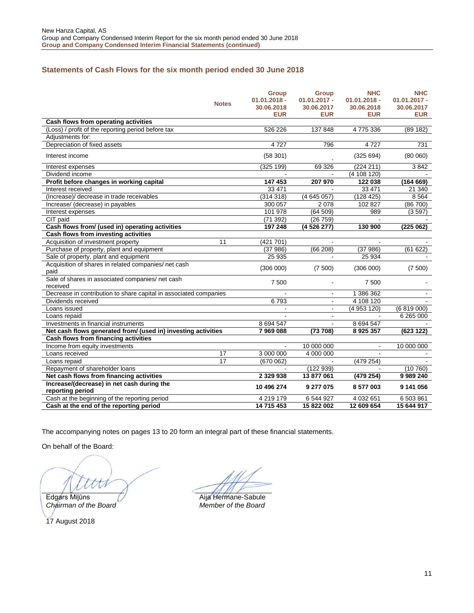## <span id="page-10-0"></span>**Statements of Cash Flows for the six month period ended 30 June 2018**

| <b>Notes</b>                                                      | Group<br>$01.01.2018 -$<br>30.06.2018<br><b>EUR</b> | <b>Group</b><br>$01.01.2017 -$<br>30.06.2017<br><b>EUR</b> | <b>NHC</b><br>$01.01.2018 -$<br>30.06.2018<br><b>EUR</b> | <b>NHC</b><br>$01.01.2017 -$<br>30.06.2017<br><b>EUR</b> |
|-------------------------------------------------------------------|-----------------------------------------------------|------------------------------------------------------------|----------------------------------------------------------|----------------------------------------------------------|
| Cash flows from operating activities                              |                                                     |                                                            |                                                          |                                                          |
| (Loss) / profit of the reporting period before tax                | 526 226                                             | 137 848                                                    | 4775336                                                  | (89182)                                                  |
| Adiustments for:                                                  |                                                     |                                                            |                                                          |                                                          |
| Depreciation of fixed assets                                      | 4727                                                | 796                                                        | 4727                                                     | 731                                                      |
| Interest income                                                   | (58301)                                             |                                                            | (325694)                                                 | (80060)                                                  |
| Interest expenses                                                 | (325 199)                                           | 69 326                                                     | (224 211)                                                | 3842                                                     |
| Dividend income                                                   |                                                     |                                                            | (4 108 120)                                              |                                                          |
| Profit before changes in working capital                          | 147453                                              | 207 970                                                    | 122 038                                                  | (164669)                                                 |
| Interest received                                                 | 33 471                                              |                                                            | 33 471                                                   | 21 340                                                   |
| (Increase)/decrease in trade receivables                          | (314318)                                            | (4645057)                                                  | (128 425)                                                | 8 5 6 4                                                  |
| Increase/ (decrease) in payables                                  | 300 057                                             | 2 0 7 8                                                    | 102 827                                                  | (86 700)                                                 |
| Interest expenses                                                 | 101 978                                             | (64509)                                                    | 989                                                      | (3597)                                                   |
| CIT paid                                                          | (71392)                                             | (26759)                                                    |                                                          |                                                          |
| Cash flows from/ (used in) operating activities                   | 197 248                                             | (4 526 277)                                                | 130 900                                                  | (225062)                                                 |
| Cash flows from investing activities                              |                                                     |                                                            |                                                          |                                                          |
| Acquisition of investment property<br>11                          | (421 701)                                           |                                                            |                                                          |                                                          |
| Purchase of property, plant and equipment                         | (37986)                                             | (66 208)                                                   | (37986)                                                  | (61622)                                                  |
| Sale of property, plant and equipment                             | 25 935                                              | $\blacksquare$                                             | 25 934                                                   |                                                          |
| Acquisition of shares in related companies/ net cash<br>paid      | (306 000)                                           | (7500)                                                     | (306 000)                                                | (7500)                                                   |
| Sale of shares in associated companies/ net cash<br>received      | 7 500                                               |                                                            | 7 500                                                    |                                                          |
| Decrease in contribution to share capital in associated companies |                                                     |                                                            | 1 386 362                                                |                                                          |
| Dividends received                                                | 6793                                                |                                                            | 4 108 120                                                |                                                          |
| Loans issued                                                      | $\sim$                                              | $\blacksquare$                                             | (4 953 120)                                              | (6819000)                                                |
| Loans repaid                                                      |                                                     |                                                            |                                                          | 6 265 000                                                |
| Investments in financial instruments                              | 8 694 547                                           |                                                            | 8 694 547                                                |                                                          |
| Net cash flows generated from/ (used in) investing activities     | 7969088                                             | (73708)                                                    | 8 9 25 357                                               | (623122)                                                 |
| Cash flows from financing activities                              |                                                     |                                                            |                                                          |                                                          |
| Income from equity investments                                    |                                                     | 10 000 000                                                 | $\blacksquare$                                           | 10 000 000                                               |
| $\overline{17}$<br>Loans received                                 | 3 000 000                                           | 4 000 000                                                  |                                                          |                                                          |
| 17<br>Loans repaid                                                | (670062)                                            |                                                            | (479 254)                                                |                                                          |
| Repayment of shareholder loans                                    |                                                     | (122939)                                                   |                                                          | (10760)                                                  |
| Net cash flows from financing activities                          | 2 3 2 9 9 3 8                                       | 13 877 061                                                 | (479 254)                                                | 9 989 240                                                |
| Increase/(decrease) in net cash during the                        | 10 496 274                                          | 9 277 075                                                  | 8 577 003                                                | 9 141 056                                                |
| reporting period                                                  |                                                     |                                                            |                                                          |                                                          |
| Cash at the beginning of the reporting period                     | 4 219 179                                           | 6 544 927                                                  | 4 032 651                                                | 6 503 861                                                |
| Cash at the end of the reporting period                           | 14 715 453                                          | 15 822 002                                                 | 12 609 654                                               | 15 644 917                                               |

The accompanying notes on pages 13 to 20 form an integral part of these financial statements.

On behalf of the Board:

1.

*Chairman of the Board Member of the Board*

Edgars Milūns **Aija Hermane-Sabule**<br>
Chairman of the Board **All Member** of the Board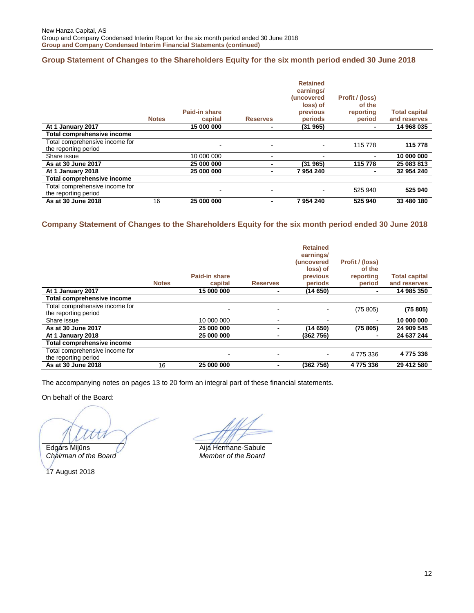## <span id="page-11-0"></span>**Group Statement of Changes to the Shareholders Equity for the six month period ended 30 June 2018**

|                                                        | <b>Notes</b> | Paid-in share<br>capital | <b>Reserves</b> | <b>Retained</b><br>earnings/<br>(uncovered<br>loss) of<br>previous<br>periods | Profit / (loss)<br>of the<br>reporting<br>period | <b>Total capital</b><br>and reserves |
|--------------------------------------------------------|--------------|--------------------------|-----------------|-------------------------------------------------------------------------------|--------------------------------------------------|--------------------------------------|
| At 1 January 2017                                      |              | 15 000 000               |                 | (31965)                                                                       |                                                  | 14 968 035                           |
| Total comprehensive income                             |              |                          |                 |                                                                               |                                                  |                                      |
| Total comprehensive income for<br>the reporting period |              |                          | ۰               |                                                                               | 115 778                                          | 115 778                              |
| Share issue                                            |              | 10 000 000               |                 |                                                                               |                                                  | 10 000 000                           |
| As at 30 June 2017                                     |              | 25 000 000               |                 | (31965)                                                                       | 115 778                                          | 25 083 813                           |
| At 1 January 2018                                      |              | 25 000 000               |                 | 7954240                                                                       |                                                  | 32 954 240                           |
| Total comprehensive income                             |              |                          |                 |                                                                               |                                                  |                                      |
| Total comprehensive income for<br>the reporting period |              |                          | ۰               |                                                                               | 525 940                                          | 525 940                              |
| As at 30 June 2018                                     | 16           | 25 000 000               | -               | 7954240                                                                       | 525 940                                          | 33 480 180                           |

## <span id="page-11-1"></span>**Company Statement of Changes to the Shareholders Equity for the six month period ended 30 June 2018**

|                                                        | <b>Notes</b> | Paid-in share<br>capital | <b>Reserves</b> | <b>Retained</b><br>earnings/<br>(uncovered<br>loss) of<br>previous<br>periods | Profit / (loss)<br>of the<br>reporting<br>period | <b>Total capital</b><br>and reserves |
|--------------------------------------------------------|--------------|--------------------------|-----------------|-------------------------------------------------------------------------------|--------------------------------------------------|--------------------------------------|
| At 1 January 2017                                      |              | 15 000 000               |                 | (14 650)                                                                      | ۰                                                | 14 985 350                           |
| Total comprehensive income                             |              |                          |                 |                                                                               |                                                  |                                      |
| Total comprehensive income for<br>the reporting period |              |                          |                 |                                                                               | (75805)                                          | (75805)                              |
| Share issue                                            |              | 10 000 000               | -               |                                                                               | ۰                                                | 10 000 000                           |
| As at 30 June 2017                                     |              | 25 000 000               | ٠               | (14 650)                                                                      | (75805)                                          | 24 909 545                           |
| At 1 January 2018                                      |              | 25 000 000               | -               | (362756)                                                                      | ٠                                                | 24 637 244                           |
| <b>Total comprehensive income</b>                      |              |                          |                 |                                                                               |                                                  |                                      |
| Total comprehensive income for<br>the reporting period |              |                          | $\blacksquare$  |                                                                               | 4775336                                          | 4775336                              |
| As at 30 June 2018                                     | 16           | 25 000 000               | -               | (362756)                                                                      | 4775336                                          | 29 412 580                           |

The accompanying notes on pages 13 to 20 form an integral part of these financial statements.

On behalf of the Board:

*Chairman of the Board Member of the Board* 17 August 2018

Edgárs Miļūns **Aija Hermane-Sabule**<br>
Chairman of the Board **All Member** of the Board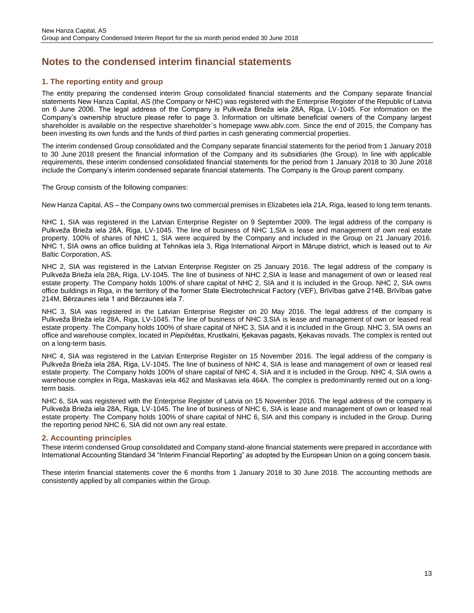## <span id="page-12-0"></span>**Notes to the condensed interim financial statements**

## **1. The reporting entity and group**

The entity preparing the condensed interim Group consolidated financial statements and the Company separate financial statements New Hanza Capital, AS (the Company or NHC) was registered with the Enterprise Register of the Republic of Latvia on 6 June 2006. The legal address of the Company is Pulkveža Brieža iela 28A, Riga, LV-1045. For information on the Company's ownership structure please refer to page 3. Information on ultimate beneficial owners of the Company largest shareholder is available on the respective shareholder`s homepage [www.ablv.com.](http://www.ablv.com/) Since the end of 2015, the Company has been investing its own funds and the funds of third parties in cash generating commercial properties.

The interim condensed Group consolidated and the Company separate financial statements for the period from 1 January 2018 to 30 June 2018 present the financial information of the Company and its subsidiaries (the Group). In line with applicable requirements, these interim condensed consolidated financial statements for the period from 1 January 2018 to 30 June 2018 include the Company's interim condensed separate financial statements. The Company is the Group parent company.

The Group consists of the following companies:

New Hanza Capital, AS – the Company owns two commercial premises in Elizabetes iela 21A, Riga, leased to long term tenants.

NHC 1, SIA was registered in the Latvian Enterprise Register on 9 September 2009. The legal address of the company is Pulkveža Brieža iela 28A, Riga, LV-1045. The line of business of NHC 1,SIA is lease and management of own real estate property. 100% of shares of NHC 1, SIA were acquired by the Company and included in the Group on 21 January 2016. NHC 1, SIA owns an office building at Tehnikas iela 3, Riga International Airport in Mārupe district, which is leased out to Air Baltic Corporation, AS.

NHC 2, SIA was registered in the Latvian Enterprise Register on 25 January 2016. The legal address of the company is Pulkveža Brieža iela 28A, Riga, LV-1045. The line of business of NHC 2,SIA is lease and management of own or leased real estate property. The Company holds 100% of share capital of NHC 2, SIA and it is included in the Group. NHC 2, SIA owns office buildings in Riga, in the territory of the former State Electrotechnical Factory (VEF), Brīvības gatve 214B, Brīvības gatve 214M, Bērzaunes iela 1 and Bērzaunes iela 7.

NHC 3, SIA was registered in the Latvian Enterprise Register on 20 May 2016. The legal address of the company is Pulkveža Brieža iela 28A, Riga, LV-1045. The line of business of NHC 3,SIA is lease and management of own or leased real estate property. The Company holds 100% of share capital of NHC 3, SIA and it is included in the Group. NHC 3, SIA owns an office and warehouse complex, located in *Piepilsētas*, Krustkalni, Ķekavas pagasts, Ķekavas novads. The complex is rented out on a long-term basis.

NHC 4, SIA was registered in the Latvian Enterprise Register on 15 November 2016. The legal address of the company is Pulkveža Brieža iela 28A, Riga, LV-1045. The line of business of NHC 4, SIA is lease and management of own or leased real estate property. The Company holds 100% of share capital of NHC 4, SIA and it is included in the Group. NHC 4, SIA owns a warehouse complex in Riga, Maskavas iela 462 and Maskavas iela 464A. The complex is predominantly rented out on a longterm basis.

NHC 6, SIA was registered with the Enterprise Register of Latvia on 15 November 2016. The legal address of the company is Pulkveža Brieža iela 28A, Riga, LV-1045. The line of business of NHC 6, SIA is lease and management of own or leased real estate property. The Company holds 100% of share capital of NHC 6, SIA and this company is included in the Group. During the reporting period NHC 6, SIA did not own any real estate.

### **2. Accounting principles**

These interim condensed Group consolidated and Company stand-alone financial statements were prepared in accordance with International Accounting Standard 34 "Interim Financial Reporting" as adopted by the European Union on a going concern basis.

These interim financial statements cover the 6 months from 1 January 2018 to 30 June 2018. The accounting methods are consistently applied by all companies within the Group.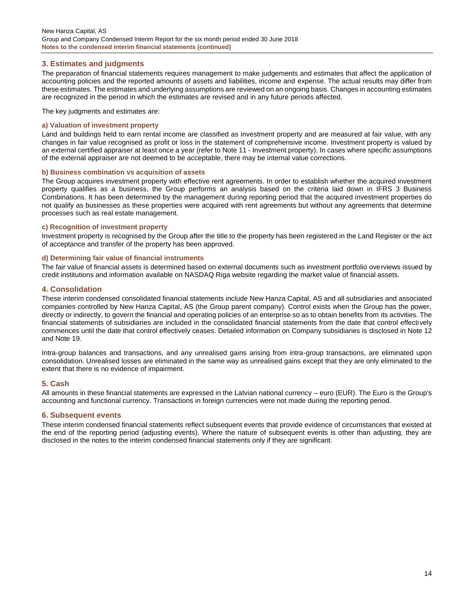### **3. Estimates and judgments**

The preparation of financial statements requires management to make judgements and estimates that affect the application of accounting policies and the reported amounts of assets and liabilities, income and expense. The actual results may differ from these estimates. The estimates and underlying assumptions are reviewed on an ongoing basis. Changes in accounting estimates are recognized in the period in which the estimates are revised and in any future periods affected.

The key judgments and estimates are:

#### **a) Valuation of investment property**

Land and buildings held to earn rental income are classified as investment property and are measured at fair value, with any changes in fair value recognised as profit or loss in the statement of comprehensive income. Investment property is valued by an external certified appraiser at least once a year (refer to Note 11 - Investment property). In cases where specific assumptions of the external appraiser are not deemed to be acceptable, there may be internal value corrections.

#### **b) Business combination vs acquisition of assets**

The Group acquires investment property with effective rent agreements. In order to establish whether the acquired investment property qualifies as a business, the Group performs an analysis based on the criteria laid down in IFRS 3 Business Combinations. It has been determined by the management during reporting period that the acquired investment properties do not qualify as businesses as these properties were acquired with rent agreements but without any agreements that determine processes such as real estate management.

#### **c) Recognition of investment property**

Investment property is recognised by the Group after the title to the property has been registered in the Land Register or the act of acceptance and transfer of the property has been approved.

#### **d) Determining fair value of financial instruments**

The fair value of financial assets is determined based on external documents such as investment portfolio overviews issued by credit institutions and information available on NASDAQ Riga website regarding the market value of financial assets.

#### **4. Consolidation**

These interim condensed consolidated financial statements include New Hanza Capital, AS and all subsidiaries and associated companies controlled by New Hanza Capital, AS (the Group parent company). Control exists when the Group has the power, directly or indirectly, to govern the financial and operating policies of an enterprise so as to obtain benefits from its activities. The financial statements of subsidiaries are included in the consolidated financial statements from the date that control effectively commences until the date that control effectively ceases. Detailed information on Company subsidiaries is disclosed in Note 12 and Note 19.

Intra-group balances and transactions, and any unrealised gains arising from intra-group transactions, are eliminated upon consolidation. Unrealised losses are eliminated in the same way as unrealised gains except that they are only eliminated to the extent that there is no evidence of impairment.

#### **5. Cash**

All amounts in these financial statements are expressed in the Latvian national currency – euro (EUR). The Euro is the Group's accounting and functional currency. Transactions in foreign currencies were not made during the reporting period.

#### **6. Subsequent events**

These interim condensed financial statements reflect subsequent events that provide evidence of circumstances that existed at the end of the reporting period (adjusting events). Where the nature of subsequent events is other than adjusting, they are disclosed in the notes to the interim condensed financial statements only if they are significant.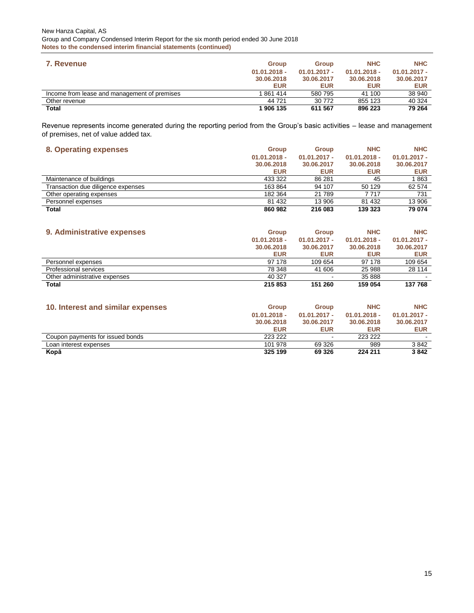| 7. Revenue                                   | <b>Group</b>   | <b>Group</b>   | <b>NHC</b>     | <b>NHC</b>     |
|----------------------------------------------|----------------|----------------|----------------|----------------|
|                                              | $01.01.2018 -$ | $01.01.2017 -$ | $01.01.2018 -$ | $01.01.2017 -$ |
|                                              | 30.06.2018     | 30.06.2017     | 30.06.2018     | 30.06.2017     |
|                                              | <b>EUR</b>     | <b>EUR</b>     | <b>EUR</b>     | <b>EUR</b>     |
| Income from lease and management of premises | 861 414        | 580 795        | 41 100         | 38 940         |
| Other revenue                                | 44 721         | 30 772         | 855 123        | 40 324         |
| Total                                        | 1 906 135      | 611 567        | 896 223        | 79 264         |

Revenue represents income generated during the reporting period from the Group's basic activities – lease and management of premises, net of value added tax.

#### **8. Operating expenses Group Group NHC NHC**

| $\sim$                             |                |                |                |                |
|------------------------------------|----------------|----------------|----------------|----------------|
|                                    | $01.01.2018 -$ | $01.01.2017 -$ | $01.01.2018 -$ | $01.01.2017 -$ |
|                                    | 30.06.2018     | 30.06.2017     | 30.06.2018     | 30.06.2017     |
|                                    | <b>EUR</b>     | <b>EUR</b>     | <b>EUR</b>     | <b>EUR</b>     |
| Maintenance of buildings           | 433 322        | 86 281         | 45             | 1863           |
| Transaction due diligence expenses | 163864         | 94 107         | 50 129         | 62 574         |
| Other operating expenses           | 182 364        | 21 789         | 7 717          | 731            |
| Personnel expenses                 | 81 432         | 13 906         | 81 432         | 13 906         |
| Total                              | 860 982        | 216 083        | 139 323        | 79 074         |

| 9. Administrative expenses    | Group          | <b>Group</b>   | <b>NHC</b>     | <b>NHC</b>     |
|-------------------------------|----------------|----------------|----------------|----------------|
|                               | $01.01.2018 -$ | $01.01.2017 -$ | $01.01.2018 -$ | $01.01.2017 -$ |
|                               | 30.06.2018     | 30.06.2017     | 30.06.2018     | 30.06.2017     |
|                               | <b>EUR</b>     | <b>EUR</b>     | <b>EUR</b>     | <b>EUR</b>     |
| Personnel expenses            | 97 178         | 109 654        | 97 178         | 109 654        |
| Professional services         | 78 348         | 41 606         | 25 988         | 28 114         |
| Other administrative expenses | 40 327         |                | 35 888         |                |
| <b>Total</b>                  | 215 853        | 151 260        | 159 054        | 137 768        |

| 10. Interest and similar expenses | <b>Group</b><br>$01.01.2018 -$<br>30.06.2018<br><b>EUR</b> | <b>Group</b><br>$01.01.2017 -$<br>30.06.2017<br><b>EUR</b> | <b>NHC</b><br>$01.01.2018 -$<br>30.06.2018<br><b>EUR</b> | <b>NHC</b><br>$01.01.2017 -$<br>30.06.2017<br><b>EUR</b> |
|-----------------------------------|------------------------------------------------------------|------------------------------------------------------------|----------------------------------------------------------|----------------------------------------------------------|
| Coupon payments for issued bonds  | 223 222                                                    | -                                                          | 223 222                                                  | $\overline{\phantom{a}}$                                 |
| Loan interest expenses            | 101 978                                                    | 69 326                                                     | 989                                                      | 3842                                                     |
| Kopā                              | 325 199                                                    | 69 3 26                                                    | 224 211                                                  | 3842                                                     |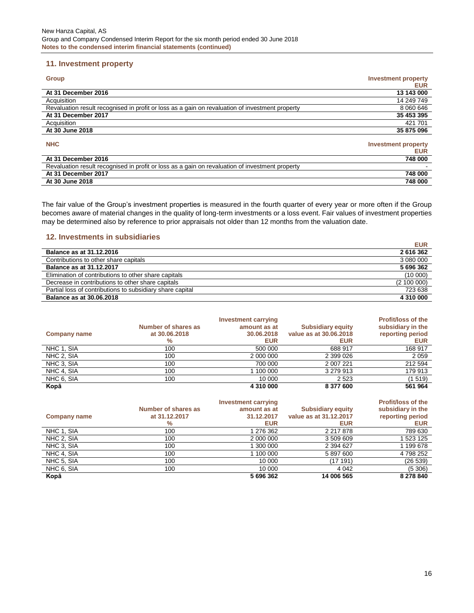## **11. Investment property**

| <b>Group</b>                                                                                    | <b>Investment property</b><br><b>EUR</b> |
|-------------------------------------------------------------------------------------------------|------------------------------------------|
| At 31 December 2016                                                                             | 13 143 000                               |
| Acquisition                                                                                     | 14 249 749                               |
| Revaluation result recognised in profit or loss as a gain on revaluation of investment property | 8 060 646                                |
| At 31 December 2017                                                                             | 35 453 395                               |
| Acquisition                                                                                     | 421 701                                  |
| At 30 June 2018                                                                                 | 35 875 096                               |
| <b>NHC</b>                                                                                      | <b>Investment property</b><br><b>EUR</b> |
| At 31 December 2016                                                                             | 748 000                                  |
| Revaluation result recognised in profit or loss as a gain on revaluation of investment property |                                          |
| At 31 December 2017                                                                             | 748 000                                  |
| At 30 June 2018                                                                                 | 748 000                                  |

The fair value of the Group's investment properties is measured in the fourth quarter of every year or more often if the Group becomes aware of material changes in the quality of long-term investments or a loss event. Fair values of investment properties may be determined also by reference to prior appraisals not older than 12 months from the valuation date.

#### **12. Investments in subsidiaries**

|                                                           | <b>EUR</b>  |
|-----------------------------------------------------------|-------------|
| <b>Balance as at 31.12.2016</b>                           | 2616362     |
| Contributions to other share capitals                     | 3 080 000   |
| Balance as at 31.12.2017                                  | 5 696 362   |
| Elimination of contributions to other share capitals      | (10000)     |
| Decrease in contributions to other share capitals         | (2 100 000) |
| Partial loss of contributions to subsidiary share capital | 723 638     |
| <b>Balance as at 30.06.2018</b>                           | 4 310 000   |

|                     |                     | <b>Investment carrying</b> |                          | <b>Profit/loss of the</b> |
|---------------------|---------------------|----------------------------|--------------------------|---------------------------|
|                     | Number of shares as | amount as at               | <b>Subsidiary equity</b> | subsidiary in the         |
| <b>Company name</b> | at 30,06,2018       | 30.06.2018                 | value as at 30,06,2018   | reporting period          |
|                     | %                   | <b>EUR</b>                 | <b>EUR</b>               | <b>EUR</b>                |
| NHC 1, SIA          | 100                 | 500 000                    | 688 917                  | 168 917                   |
| NHC 2, SIA          | 100                 | 2 000 000                  | 2 399 0 26               | 2059                      |
| NHC 3, SIA          | 100                 | 700 000                    | 2 007 221                | 212 594                   |
| NHC 4, SIA          | 100                 | 1 100 000                  | 3 279 913                | 179 913                   |
| NHC 6, SIA          | 100                 | 10 000                     | 2 5 2 3                  | (1 519)                   |
| Kopā                |                     | 4 310 000                  | 8 377 600                | 561 964                   |

|                     |                     | <b>Investment carrying</b> |                          | <b>Profit/loss of the</b> |
|---------------------|---------------------|----------------------------|--------------------------|---------------------------|
|                     | Number of shares as | amount as at               | <b>Subsidiary equity</b> | subsidiary in the         |
| <b>Company name</b> | at 31.12.2017       | 31.12.2017                 | value as at 31.12.2017   | reporting period          |
|                     | %                   | <b>EUR</b>                 | <b>EUR</b>               | <b>EUR</b>                |
| NHC 1, SIA          | 100                 | 1 276 362                  | 2 217 878                | 789 630                   |
| NHC 2, SIA          | 100                 | 2 000 000                  | 3 509 609                | 1 523 125                 |
| NHC 3, SIA          | 100                 | 300 000                    | 2 394 627                | 1 199 678                 |
| NHC 4, SIA          | 100                 | 1 100 000                  | 5 897 600                | 4 798 252                 |
| NHC 5, SIA          | 100                 | 10 000                     | (17 191)                 | (26 539)                  |
| NHC 6, SIA          | 100                 | 10 000                     | 4 0 4 2                  | (5306)                    |
| Kopā                |                     | 5 696 362                  | 14 006 565               | 8 278 840                 |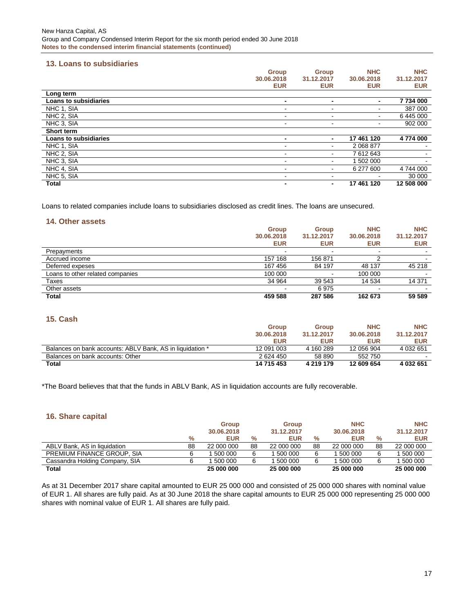### **13. Loans to subsidiaries**

|                              | <b>Group</b>             | <b>Group</b>             | <b>NHC</b>     | <b>NHC</b>               |
|------------------------------|--------------------------|--------------------------|----------------|--------------------------|
|                              | 30.06.2018               | 31.12.2017               | 30.06.2018     | 31.12.2017               |
|                              | <b>EUR</b>               | <b>EUR</b>               | <b>EUR</b>     | <b>EUR</b>               |
| Long term                    |                          |                          |                |                          |
| <b>Loans to subsidiaries</b> | $\blacksquare$           | -                        | $\blacksquare$ | 7734000                  |
| NHC 1, SIA                   |                          |                          |                | 387 000                  |
| NHC 2, SIA                   | $\overline{\phantom{a}}$ | $\overline{\phantom{a}}$ | ۰              | 6 445 000                |
| NHC 3. SIA                   | $\overline{\phantom{a}}$ | $\blacksquare$           | ۰              | 902 000                  |
| Short term                   |                          |                          |                |                          |
| <b>Loans to subsidiaries</b> | $\blacksquare$           | $\blacksquare$           | 17 461 120     | 4774 000                 |
| NHC 1, SIA                   | $\overline{\phantom{a}}$ | $\blacksquare$           | 2 068 877      |                          |
| NHC 2, SIA                   | $\overline{\phantom{a}}$ | $\blacksquare$           | 7612643        |                          |
| NHC 3, SIA                   | $\overline{\phantom{a}}$ | $\overline{\phantom{0}}$ | 1 502 000      | $\overline{\phantom{0}}$ |
| NHC 4, SIA                   | $\overline{\phantom{a}}$ | $\blacksquare$           | 6 277 600      | 4 744 000                |
| NHC 5, SIA                   | -                        | $\blacksquare$           |                | 30 000                   |
| <b>Total</b>                 | $\blacksquare$           | $\overline{\phantom{0}}$ | 17 461 120     | 12 508 000               |

Loans to related companies include loans to subsidiaries disclosed as credit lines. The loans are unsecured.

### **14. Other assets**

|                                  | <b>Group</b> | <b>Group</b> | <b>NHC</b> | <b>NHC</b> |
|----------------------------------|--------------|--------------|------------|------------|
|                                  | 30.06.2018   | 31.12.2017   | 30.06.2018 | 31.12.2017 |
|                                  | <b>EUR</b>   | <b>EUR</b>   | <b>EUR</b> | <b>EUR</b> |
| Prepayments                      |              |              |            |            |
| Accrued income                   | 157 168      | 156 871      |            |            |
| Deferred expeses                 | 167 456      | 84 197       | 48 137     | 45 218     |
| Loans to other related companies | 100 000      |              | 100 000    |            |
| Taxes                            | 34 964       | 39 543       | 14 534     | 14 371     |
| Other assets                     |              | 6975         | -          |            |
| <b>Total</b>                     | 459 588      | 287 586      | 162 673    | 59 589     |

## **15. Cash**

|                                                           | <b>Group</b> | <b>Group</b> | <b>NHC</b> | <b>NHC</b> |
|-----------------------------------------------------------|--------------|--------------|------------|------------|
|                                                           | 30.06.2018   | 31.12.2017   | 30.06.2018 | 31.12.2017 |
|                                                           | <b>EUR</b>   | <b>EUR</b>   | <b>EUR</b> | <b>EUR</b> |
| Balances on bank accounts: ABLV Bank, AS in liquidation * | 12 091 003   | 4 160 289    | 12 056 904 | 4 032 651  |
| Balances on bank accounts: Other                          | 2624450      | 58 890       | 552750     |            |
| Total                                                     | 14 715 453   | 4 219 179    | 12 609 654 | 4 032 651  |

\*The Board believes that that the funds in ABLV Bank, AS in liquidation accounts are fully recoverable.

### **16. Share capital**

|                                |      | <b>Group</b> |      | <b>Group</b> |      | <b>NHC</b> |      | <b>NHC</b> |
|--------------------------------|------|--------------|------|--------------|------|------------|------|------------|
|                                |      | 30.06.2018   |      | 31.12.2017   |      | 30.06.2018 |      | 31.12.2017 |
|                                | $\%$ | <b>EUR</b>   | $\%$ | <b>EUR</b>   | $\%$ | <b>EUR</b> | $\%$ | <b>EUR</b> |
| ABLV Bank, AS in liquidation   | 88   | 22 000 000   | 88   | 22 000 000   | 88   | 22 000 000 | 88   | 22 000 000 |
| PREMIUM FINANCE GROUP. SIA     |      | 500 000      | 6    | 500 000      |      | 500 000    |      | 500 000    |
| Cassandra Holding Company, SIA | 6    | 500 000      | 6    | 500 000      |      | 500 000    |      | 500 000    |
| <b>Total</b>                   |      | 25 000 000   |      | 25 000 000   |      | 25 000 000 |      | 25 000 000 |

As at 31 December 2017 share capital amounted to EUR 25 000 000 and consisted of 25 000 000 shares with nominal value of EUR 1. All shares are fully paid. As at 30 June 2018 the share capital amounts to EUR 25 000 000 representing 25 000 000 shares with nominal value of EUR 1. All shares are fully paid.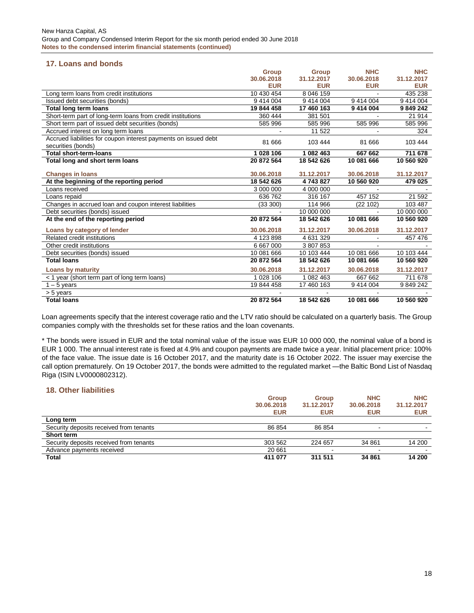## **17. Loans and bonds**

|                                                                 | <b>Group</b> | <b>Group</b> | <b>NHC</b> | <b>NHC</b> |
|-----------------------------------------------------------------|--------------|--------------|------------|------------|
|                                                                 | 30.06.2018   | 31.12.2017   | 30.06.2018 | 31.12.2017 |
|                                                                 | <b>EUR</b>   | <b>EUR</b>   | <b>EUR</b> | <b>EUR</b> |
| Long term loans from credit institutions                        | 10 430 454   | 8 046 159    |            | 435 238    |
| Issued debt securities (bonds)                                  | 9 414 004    | 9 414 004    | 9 414 004  | 9 414 004  |
| <b>Total long term loans</b>                                    | 19 844 458   | 17 460 163   | 9 414 004  | 9 849 242  |
| Short-term part of long-term loans from credit institutions     | 360 444      | 381 501      |            | 21914      |
| Short term part of issued debt securities (bonds)               | 585 996      | 585 996      | 585 996    | 585 996    |
| Accrued interest on long term loans                             |              | 11 522       |            | 324        |
| Accrued liabilities for coupon interest payments on issued debt | 81 666       | 103 444      | 81 666     | 103 444    |
| securities (bonds)                                              |              |              |            |            |
| <b>Total short-term-loans</b>                                   | 1028 106     | 1 082 463    | 667 662    | 711 678    |
| Total long and short term loans                                 | 20 872 564   | 18 542 626   | 10 081 666 | 10 560 920 |
|                                                                 |              |              |            |            |
| <b>Changes in loans</b>                                         | 30.06.2018   | 31.12.2017   | 30.06.2018 | 31.12.2017 |
| At the beginning of the reporting period                        | 18 542 626   | 4743827      | 10 560 920 | 479 025    |
| Loans received                                                  | 3 000 000    | 4 000 000    |            |            |
| Loans repaid                                                    | 636 762      | 316 167      | 457 152    | 21 592     |
| Changes in accrued loan and coupon interest liabilities         | (33 300)     | 114 966      | (22 102)   | 103 487    |
| Debt securities (bonds) issued                                  |              | 10 000 000   |            | 10 000 000 |
| At the end of the reporting period                              | 20 872 564   | 18 542 626   | 10 081 666 | 10 560 920 |
| Loans by category of lender                                     | 30.06.2018   | 31.12.2017   | 30.06.2018 | 31.12.2017 |
| Related credit institutions                                     | 4 123 898    | 4 631 329    |            | 457 476    |
| Other credit institutions                                       | 6 667 000    | 3807853      |            |            |
| Debt securities (bonds) issued                                  | 10 081 666   | 10 103 444   | 10 081 666 | 10 103 444 |
| <b>Total loans</b>                                              | 20 872 564   | 18 542 626   | 10 081 666 | 10 560 920 |
| <b>Loans by maturity</b>                                        | 30.06.2018   | 31.12.2017   | 30.06.2018 | 31.12.2017 |
| < 1 year (short term part of long term loans)                   | 1 028 106    | 1 082 463    | 667 662    | 711 678    |
| $1 - 5$ years                                                   | 19 844 458   | 17 460 163   | 9 414 004  | 9849242    |
| > 5 years                                                       |              |              |            |            |
| <b>Total loans</b>                                              | 20 872 564   | 18 542 626   | 10 081 666 | 10 560 920 |

Loan agreements specify that the interest coverage ratio and the LTV ratio should be calculated on a quarterly basis. The Group companies comply with the thresholds set for these ratios and the loan covenants.

\* The bonds were issued in EUR and the total nominal value of the issue was EUR 10 000 000, the nominal value of a bond is EUR 1 000. The annual interest rate is fixed at 4.9% and coupon payments are made twice a year. Initial placement price: 100% of the face value. The issue date is 16 October 2017, and the maturity date is 16 October 2022. The issuer may exercise the call option prematurely. On 19 October 2017, the bonds were admitted to the regulated market —the Baltic Bond List of Nasdaq Riga (ISIN LV0000802312).

#### **18. Other liabilities**

|                                         | <b>Group</b> | <b>Group</b> | <b>NHC</b> | <b>NHC</b> |
|-----------------------------------------|--------------|--------------|------------|------------|
|                                         | 30.06.2018   | 31.12.2017   | 30.06.2018 | 31.12.2017 |
|                                         | <b>EUR</b>   | <b>EUR</b>   | <b>EUR</b> | <b>EUR</b> |
| Long term                               |              |              |            |            |
| Security deposits received from tenants | 86 854       | 86 854       |            |            |
| <b>Short term</b>                       |              |              |            |            |
| Security deposits received from tenants | 303 562      | 224 657      | 34 861     | 14 200     |
| Advance payments received               | 20 661       |              |            |            |
| <b>Total</b>                            | 411 077      | 311 511      | 34 861     | 14 200     |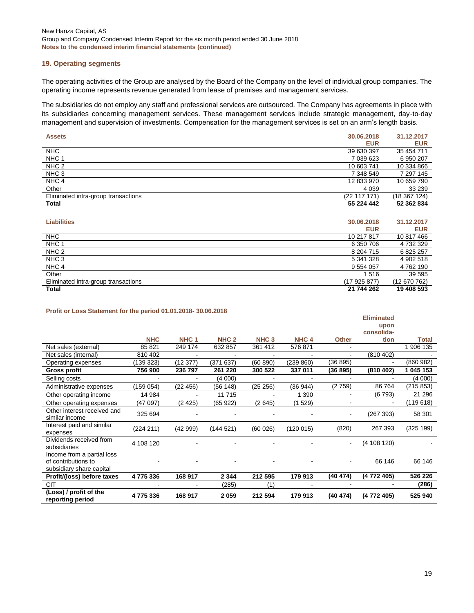#### **19. Operating segments**

The operating activities of the Group are analysed by the Board of the Company on the level of individual group companies. The operating income represents revenue generated from lease of premises and management services.

The subsidiaries do not employ any staff and professional services are outsourced. The Company has agreements in place with its subsidiaries concerning management services. These management services include strategic management, day-to-day management and supervision of investments. Compensation for the management services is set on an arm's length basis.

| <b>Assets</b>                       | 30.06.2018   | 31.12.2017   |
|-------------------------------------|--------------|--------------|
|                                     | <b>EUR</b>   | <b>EUR</b>   |
| <b>NHC</b>                          | 39 630 397   | 35 454 711   |
| NHC <sub>1</sub>                    | 7 039 623    | 6 950 207    |
| NHC <sub>2</sub>                    | 10 603 741   | 10 334 866   |
| NHC <sub>3</sub>                    | 7 348 549    | 7 297 145    |
| NHC <sub>4</sub>                    | 12 833 970   | 10 659 790   |
| Other                               | 4 0 3 9      | 33 239       |
| Eliminated intra-group transactions | (22 117 171) | (18 367 124) |
| Total                               | 55 224 442   | 52 362 834   |

| <b>Liabilities</b>                  | 30.06.2018<br><b>EUR</b> | 31.12.2017<br><b>EUR</b> |
|-------------------------------------|--------------------------|--------------------------|
| <b>NHC</b>                          | 10 217 817               | 10 817 466               |
| NHC <sub>1</sub>                    | 6 350 706                | 4 732 329                |
| NHC <sub>2</sub>                    | 8 204 715                | 6 825 257                |
| NHC <sub>3</sub>                    | 5 341 328                | 4 902 518                |
| NHC <sub>4</sub>                    | 9 5 5 4 0 5 7            | 4762190                  |
| Other                               | 1516                     | 39 595                   |
| Eliminated intra-group transactions | (17925877)               | (12 670 762)             |
| <b>Total</b>                        | 21 744 262               | 19 408 593               |

#### **Profit or Loss Statement for the period 01.01.2018- 30.06.2018**

|                                                                               |            |                  |                  |                  |                  |                | <b>Eliminated</b><br>upon<br>consolida- |              |
|-------------------------------------------------------------------------------|------------|------------------|------------------|------------------|------------------|----------------|-----------------------------------------|--------------|
|                                                                               | <b>NHC</b> | NHC <sub>1</sub> | NHC <sub>2</sub> | NHC <sub>3</sub> | NHC <sub>4</sub> | <b>Other</b>   | tion                                    | <b>Total</b> |
| Net sales (external)                                                          | 85 821     | 249 174          | 632 857          | 361 412          | 576 871          |                |                                         | 1 906 135    |
| Net sales (internal)                                                          | 810 402    |                  |                  |                  |                  | $\blacksquare$ | (810 402)                               |              |
| Operating expenses                                                            | (139 323)  | (12 377)         | (371637)         | (60 890)         | (239 860)        | (36 895)       |                                         | (860982)     |
| <b>Gross profit</b>                                                           | 756 900    | 236 797          | 261 220          | 300 522          | 337 011          | (36 895)       | (810 402)                               | 1 045 153    |
| Selling costs                                                                 |            |                  | (4000)           |                  |                  |                |                                         | (4 000)      |
| Administrative expenses                                                       | (159 054)  | (22 456)         | (56 148)         | (25 256)         | (36944)          | (2759)         | 86 764                                  | (215 853)    |
| Other operating income                                                        | 14 984     |                  | 11715            |                  | 1 3 9 0          | $\sim$         | (6793)                                  | 21 29 6      |
| Other operating expenses                                                      | (47 097)   | (2425)           | (65 922)         | (2645)           | (1529)           | $\sim$         | $\blacksquare$                          | (119618)     |
| Other interest received and<br>similar income                                 | 325 694    |                  |                  |                  |                  | ٠              | (267 393)                               | 58 301       |
| Interest paid and similar<br>expenses                                         | (224 211)  | (42999)          | (144521)         | (60026)          | (120015)         | (820)          | 267 393                                 | (325 199)    |
| Dividends received from<br>subsidiaries                                       | 4 108 120  |                  |                  |                  |                  | ۰.             | (4108120)                               |              |
| Income from a partial loss<br>of contributions to<br>subsidiary share capital |            |                  |                  |                  |                  |                | 66 146                                  | 66 146       |
| Profit/(loss) before taxes                                                    | 4775336    | 168 917          | 2 3 4 4          | 212 595          | 179 913          | (40 474)       | (4 772 405)                             | 526 226      |
| <b>CIT</b>                                                                    |            |                  | (285)            | (1)              |                  |                |                                         | (286)        |
| (Loss) / profit of the<br>reporting period                                    | 4775336    | 168 917          | 2059             | 212 594          | 179 913          | (40 474)       | (4 772 405)                             | 525 940      |